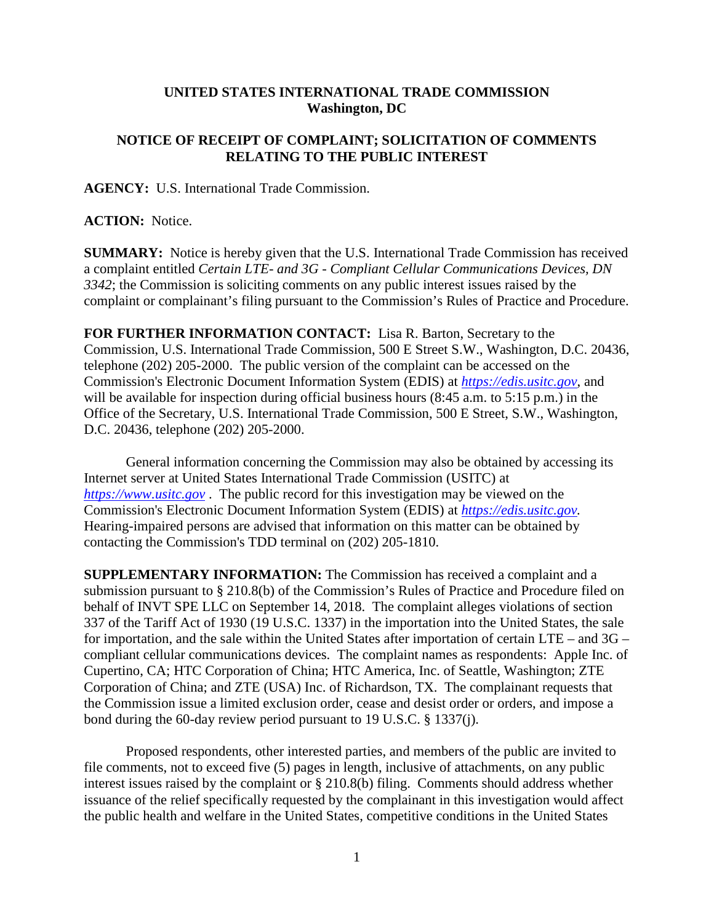## **UNITED STATES INTERNATIONAL TRADE COMMISSION Washington, DC**

## **NOTICE OF RECEIPT OF COMPLAINT; SOLICITATION OF COMMENTS RELATING TO THE PUBLIC INTEREST**

**AGENCY:** U.S. International Trade Commission.

## **ACTION:** Notice.

**SUMMARY:** Notice is hereby given that the U.S. International Trade Commission has received a complaint entitled *Certain LTE- and 3G - Compliant Cellular Communications Devices, DN 3342*; the Commission is soliciting comments on any public interest issues raised by the complaint or complainant's filing pursuant to the Commission's Rules of Practice and Procedure.

**FOR FURTHER INFORMATION CONTACT:** Lisa R. Barton, Secretary to the Commission, U.S. International Trade Commission, 500 E Street S.W., Washington, D.C. 20436, telephone (202) 205-2000. The public version of the complaint can be accessed on the Commission's Electronic Document Information System (EDIS) at *[https://edis.usitc.gov](https://edis.usitc.gov/)*, and will be available for inspection during official business hours (8:45 a.m. to 5:15 p.m.) in the Office of the Secretary, U.S. International Trade Commission, 500 E Street, S.W., Washington, D.C. 20436, telephone (202) 205-2000.

General information concerning the Commission may also be obtained by accessing its Internet server at United States International Trade Commission (USITC) at *[https://www.usitc.gov](https://www.usitc.gov/)* . The public record for this investigation may be viewed on the Commission's Electronic Document Information System (EDIS) at *[https://edis.usitc.gov.](https://edis.usitc.gov/)* Hearing-impaired persons are advised that information on this matter can be obtained by contacting the Commission's TDD terminal on (202) 205-1810.

**SUPPLEMENTARY INFORMATION:** The Commission has received a complaint and a submission pursuant to § 210.8(b) of the Commission's Rules of Practice and Procedure filed on behalf of INVT SPE LLC on September 14, 2018. The complaint alleges violations of section 337 of the Tariff Act of 1930 (19 U.S.C. 1337) in the importation into the United States, the sale for importation, and the sale within the United States after importation of certain LTE – and 3G – compliant cellular communications devices. The complaint names as respondents: Apple Inc. of Cupertino, CA; HTC Corporation of China; HTC America, Inc. of Seattle, Washington; ZTE Corporation of China; and ZTE (USA) Inc. of Richardson, TX. The complainant requests that the Commission issue a limited exclusion order, cease and desist order or orders, and impose a bond during the 60-day review period pursuant to 19 U.S.C. § 1337(j).

Proposed respondents, other interested parties, and members of the public are invited to file comments, not to exceed five (5) pages in length, inclusive of attachments, on any public interest issues raised by the complaint or § 210.8(b) filing. Comments should address whether issuance of the relief specifically requested by the complainant in this investigation would affect the public health and welfare in the United States, competitive conditions in the United States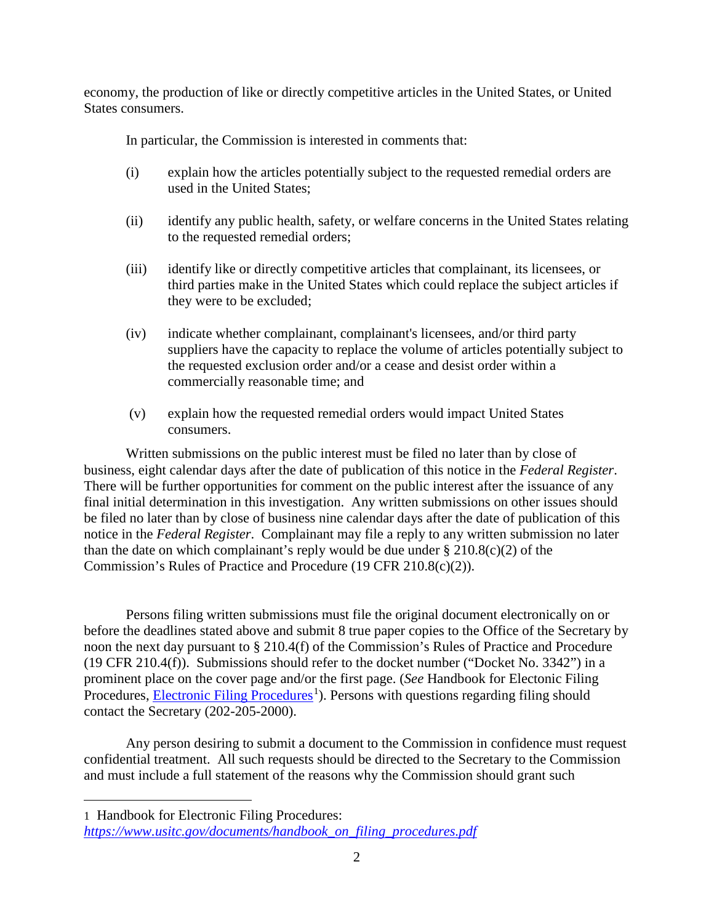economy, the production of like or directly competitive articles in the United States, or United States consumers.

In particular, the Commission is interested in comments that:

- (i) explain how the articles potentially subject to the requested remedial orders are used in the United States;
- (ii) identify any public health, safety, or welfare concerns in the United States relating to the requested remedial orders;
- (iii) identify like or directly competitive articles that complainant, its licensees, or third parties make in the United States which could replace the subject articles if they were to be excluded;
- (iv) indicate whether complainant, complainant's licensees, and/or third party suppliers have the capacity to replace the volume of articles potentially subject to the requested exclusion order and/or a cease and desist order within a commercially reasonable time; and
- (v) explain how the requested remedial orders would impact United States consumers.

Written submissions on the public interest must be filed no later than by close of business, eight calendar days after the date of publication of this notice in the *Federal Register*. There will be further opportunities for comment on the public interest after the issuance of any final initial determination in this investigation. Any written submissions on other issues should be filed no later than by close of business nine calendar days after the date of publication of this notice in the *Federal Register*. Complainant may file a reply to any written submission no later than the date on which complainant's reply would be due under  $\S 210.8(c)(2)$  of the Commission's Rules of Practice and Procedure (19 CFR 210.8(c)(2)).

Persons filing written submissions must file the original document electronically on or before the deadlines stated above and submit 8 true paper copies to the Office of the Secretary by noon the next day pursuant to § 210.4(f) of the Commission's Rules of Practice and Procedure (19 CFR 210.4(f)). Submissions should refer to the docket number ("Docket No. 3342") in a prominent place on the cover page and/or the first page. (*See* Handbook for Electonic Filing Procedures, **Electronic Filing Procedures**<sup>[1](#page-1-0)</sup>). Persons with questions regarding filing should contact the Secretary (202-205-2000).

Any person desiring to submit a document to the Commission in confidence must request confidential treatment. All such requests should be directed to the Secretary to the Commission and must include a full statement of the reasons why the Commission should grant such

<span id="page-1-0"></span>1 Handbook for Electronic Filing Procedures:

 $\overline{a}$ 

*[https://www.usitc.gov/documents/handbook\\_on\\_filing\\_procedures.pdf](https://www.usitc.gov/documents/handbook_on_filing_procedures.pdf)*